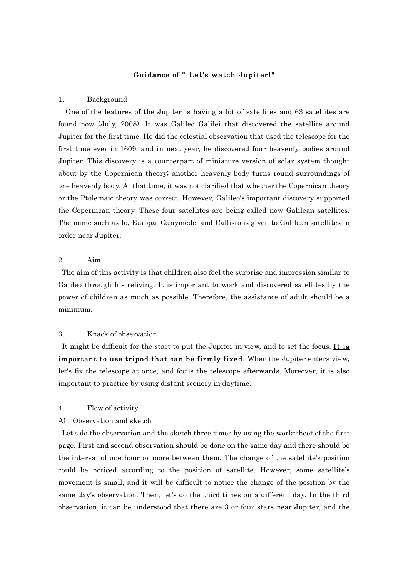# Guidance of " Let's watch Jupiter!"

#### 1. Background

One of the features of the Jupiter is having a lot of satellites and 63 satellites are found now (July, 2008). It was Galileo Galilei that discovered the satellite around Jupiter for the first time. He did the celestial observation that used the telescope for the first time ever in 1609, and in next year, he discovered four heavenly bodies around Jupiter. This discovery is a counterpart of miniature version of solar system thought about by the Copernican theory; another heavenly body turns round surroundings of one heavenly body. At that time, it was not clarified that whether the Copernican theory or the Ptolemaic theory was correct. However, Galileo's important discovery supported the Copernican theory. These four satellites are being called now Galilean satellites. The name such as Io, Europa, Ganymede, and Callisto is given to Galilean satellites in order near Jupiter.

# 2. Aim

The aim of this activity is that children also feel the surprise and impression similar to Galileo through his reliving. It is important to work and discovered satellites by the power of children as much as possible. Therefore, the assistance of adult should be a minimum.

# 3. Knack of observation

It might be difficult for the start to put the Jupiter in view, and to set the focus. It is important to use tripod that can be firmly fixed. When the Jupiter enters view, let's fix the telescope at once, and focus the telescope afterwards. Moreover, it is also important to practice by using distant scenery in daytime.

### 4. Flow of activity

### A) Observation and sketch

Let's do the observation and the sketch three times by using the work-sheet of the first page. First and second observation should be done on the same day and there should be the interval of one hour or more between them. The change of the satellite's position could be noticed according to the position of satellite. However, some satellite's movement is small, and it will be difficult to notice the change of the position by the same day's observation. Then, let's do the third times on a different day. In the third observation, it can be understood that there are 3 or four stars near Jupiter, and the